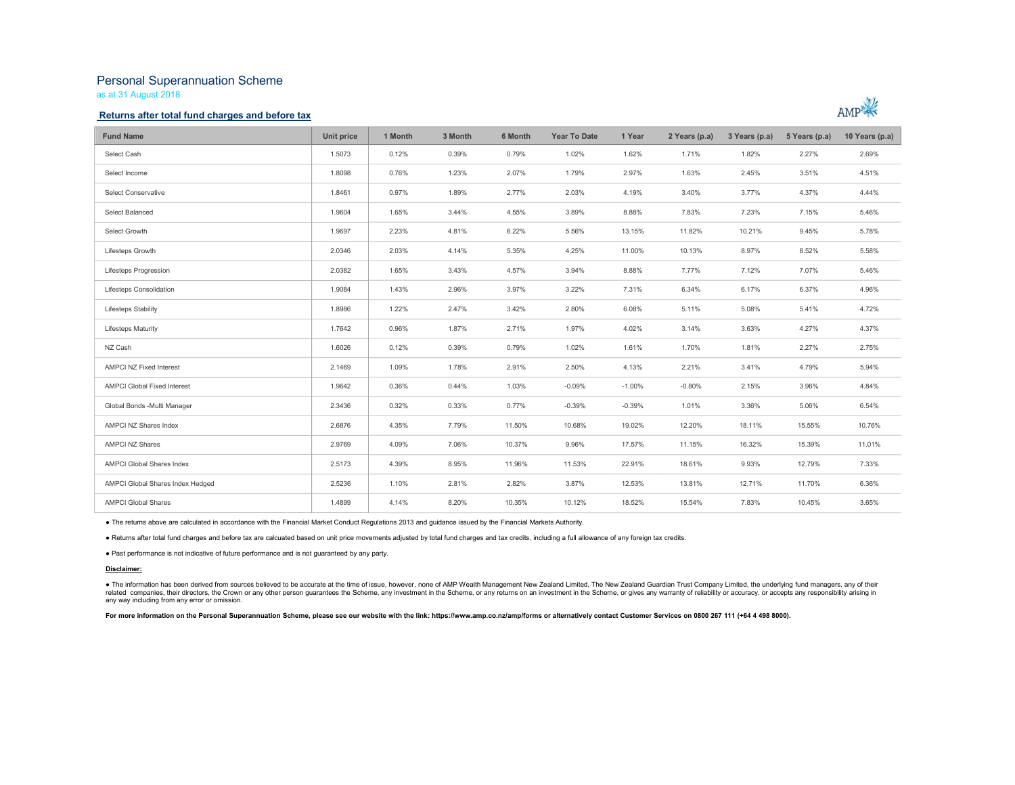# Personal Superannuation Scheme

as at 31 August 2018

### Returns after total fund charges and before tax



| <b>Fund Name</b>                   | Unit price | 1 Month | 3 Month | 6 Month | <b>Year To Date</b> | 1 Year   | 2 Years (p.a) | 3 Years (p.a) | 5 Years (p.a) | 10 Years (p.a) |
|------------------------------------|------------|---------|---------|---------|---------------------|----------|---------------|---------------|---------------|----------------|
| Select Cash                        | 1.5073     | 0.12%   | 0.39%   | 0.79%   | 1.02%               | 1.62%    | 1.71%         | 1.82%         | 2.27%         | 2.69%          |
| Select Income                      | 1.8098     | 0.76%   | 1.23%   | 2.07%   | 1.79%               | 2.97%    | 1.63%         | 2.45%         | 3.51%         | 4.51%          |
| Select Conservative                | 1.8461     | 0.97%   | 1.89%   | 2.77%   | 2.03%               | 4.19%    | 3.40%         | 3.77%         | 4.37%         | 4.44%          |
| Select Balanced                    | 1.9604     | 1.65%   | 3.44%   | 4.55%   | 3.89%               | 8.88%    | 7.83%         | 7.23%         | 7.15%         | 5.46%          |
| Select Growth                      | 1.9697     | 2.23%   | 4.81%   | 6.22%   | 5.56%               | 13.15%   | 11.82%        | 10.21%        | 9.45%         | 5.78%          |
| Lifesteps Growth                   | 2.0346     | 2.03%   | 4.14%   | 5.35%   | 4.25%               | 11.00%   | 10.13%        | 8.97%         | 8.52%         | 5.58%          |
| Lifesteps Progression              | 2.0382     | 1.65%   | 3.43%   | 4.57%   | 3.94%               | 8.88%    | 7.77%         | 7.12%         | 7.07%         | 5.46%          |
| Lifesteps Consolidation            | 1.9084     | 1.43%   | 2.96%   | 3.97%   | 3.22%               | 7.31%    | 6.34%         | 6.17%         | 6.37%         | 4.96%          |
| Lifesteps Stability                | 1.8986     | 1.22%   | 2.47%   | 3.42%   | 2.80%               | 6.08%    | 5.11%         | 5.08%         | 5.41%         | 4.72%          |
| <b>Lifesteps Maturity</b>          | 1,7642     | 0.96%   | 1.87%   | 2.71%   | 1.97%               | 4.02%    | 3.14%         | 3.63%         | 4.27%         | 4.37%          |
| NZ Cash                            | 1.6026     | 0.12%   | 0.39%   | 0.79%   | 1.02%               | 1.61%    | 1.70%         | 1.81%         | 2.27%         | 2.75%          |
| AMPCI NZ Fixed Interest            | 2.1469     | 1.09%   | 1.78%   | 2.91%   | 2.50%               | 4.13%    | 2.21%         | 3.41%         | 4.79%         | 5.94%          |
| <b>AMPCI Global Fixed Interest</b> | 1.9642     | 0.36%   | 0.44%   | 1.03%   | $-0.09%$            | $-1.00%$ | $-0.80%$      | 2.15%         | 3.96%         | 4.84%          |
| Global Bonds - Multi Manager       | 2.3436     | 0.32%   | 0.33%   | 0.77%   | $-0.39%$            | $-0.39%$ | 1.01%         | 3.36%         | 5.06%         | 6.54%          |
| AMPCI NZ Shares Index              | 2.6876     | 4.35%   | 7.79%   | 11.50%  | 10.68%              | 19.02%   | 12.20%        | 18.11%        | 15.55%        | 10.76%         |
| <b>AMPCI NZ Shares</b>             | 2.9769     | 4.09%   | 7.06%   | 10.37%  | 9.96%               | 17.57%   | 11.15%        | 16.32%        | 15.39%        | 11.01%         |
| <b>AMPCI Global Shares Index</b>   | 2.5173     | 4.39%   | 8.95%   | 11.96%  | 11.53%              | 22.91%   | 18.61%        | 9.93%         | 12.79%        | 7.33%          |
| AMPCI Global Shares Index Hedged   | 2.5236     | 1.10%   | 2.81%   | 2.82%   | 3.87%               | 12.53%   | 13.81%        | 12.71%        | 11.70%        | 6.36%          |
| <b>AMPCI Global Shares</b>         | 1.4899     | 4.14%   | 8.20%   | 10.35%  | 10.12%              | 18.52%   | 15.54%        | 7.83%         | 10.45%        | 3.65%          |

● The returns above are calculated in accordance with the Financial Market Conduct Regulations 2013 and guidance issued by the Financial Markets Authority.<br>● Returns after total fund charges and before tax are calcuated b

#### Disclaimer:

● The information has been derived from sources believed to be accurate at the time of issue, however, none of AMP Wealth Management New Zealand Limited, The New Zealand Guardian Trust Company Limited, the underlying fund any way including from any error or omission.

For more information on the Personal Superannuation Scheme, please see our website with the link: https://www.amp.co.nz/amp/forms or alternatively contact Customer Services on 0800 267 111 (+64 4 498 8000).